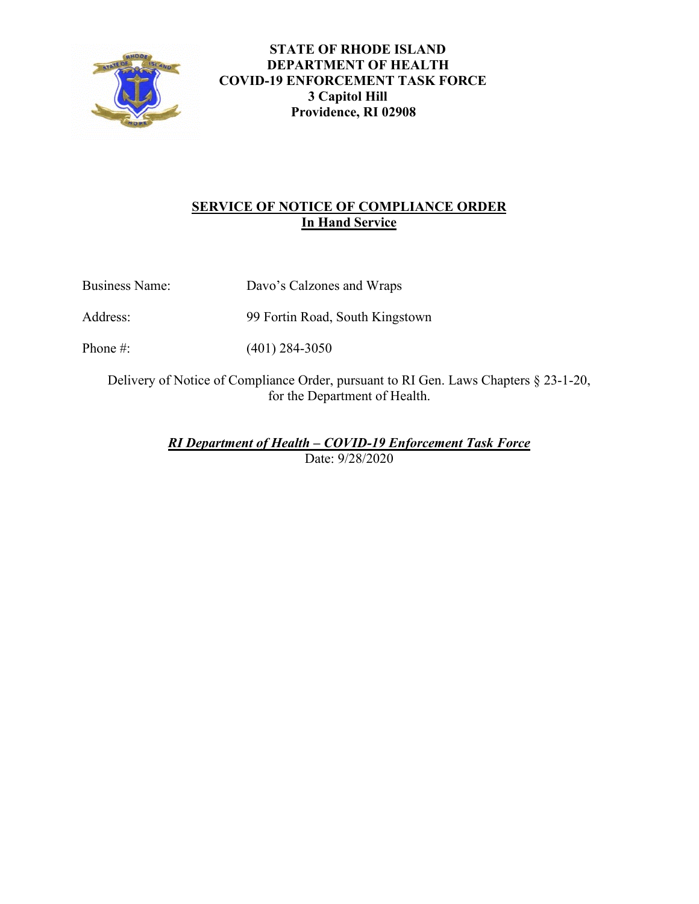

## **STATE OF RHODE ISLAND DEPARTMENT OF HEALTH COVID-19 ENFORCEMENT TASK FORCE**  **3 Capitol Hill Providence, RI 02908**

# **SERVICE OF NOTICE OF COMPLIANCE ORDER In Hand Service**

| <b>Business Name:</b> | Davo's Calzones and Wraps |
|-----------------------|---------------------------|
|                       |                           |

Address: 99 Fortin Road, South Kingstown

Phone #: (401) 284-3050

Delivery of Notice of Compliance Order, pursuant to RI Gen. Laws Chapters § 23-1-20, for the Department of Health.

*RI Department of Health – COVID-19 Enforcement Task Force*

Date: 9/28/2020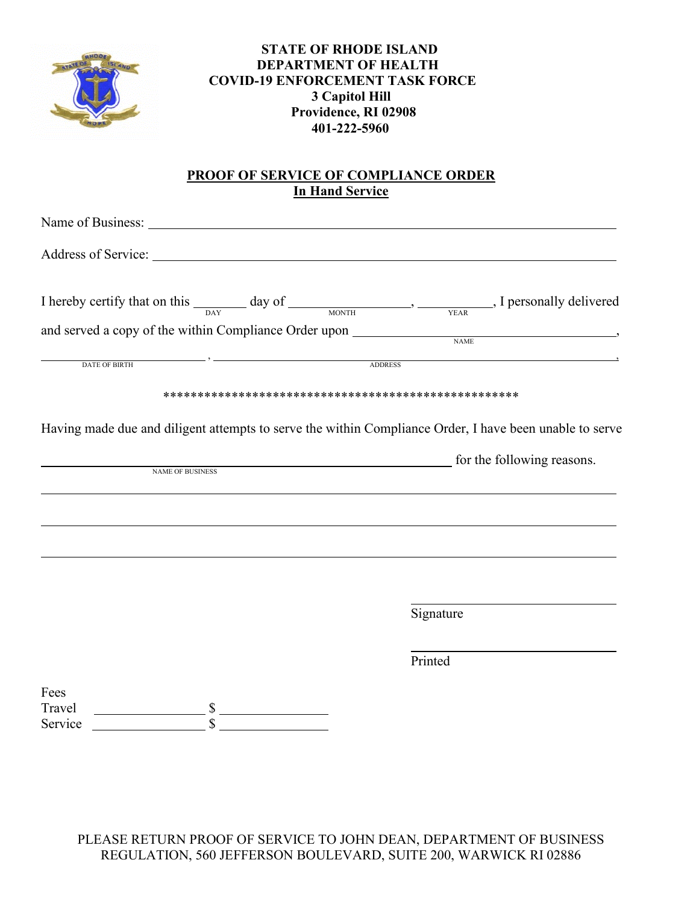

### **STATE OF RHODE ISLAND DEPARTMENT OF HEALTH COVID-19 ENFORCEMENT TASK FORCE**  **3 Capitol Hill Providence, RI 02908 401-222-5960**

# **PROOF OF SERVICE OF COMPLIANCE ORDER In Hand Service**

| Name of Business: Name of Business:      |                                                                                                                                       |
|------------------------------------------|---------------------------------------------------------------------------------------------------------------------------------------|
|                                          |                                                                                                                                       |
|                                          | I hereby certify that on this $\frac{1}{DAY}$ day of $\frac{1}{MONTH}$ , $\frac{1}{MONTH}$ , I personally delivered                   |
|                                          |                                                                                                                                       |
| <b>DATE OF BIRTH</b>                     | ADDRESS                                                                                                                               |
|                                          |                                                                                                                                       |
| <b>NAME OF BUSINESS</b>                  | Having made due and diligent attempts to serve the within Compliance Order, I have been unable to serve<br>for the following reasons. |
|                                          | Signature                                                                                                                             |
|                                          | Printed                                                                                                                               |
| Fees<br>Travel<br>$\mathbf S$<br>Service |                                                                                                                                       |

PLEASE RETURN PROOF OF SERVICE TO JOHN DEAN, DEPARTMENT OF BUSINESS REGULATION, 560 JEFFERSON BOULEVARD, SUITE 200, WARWICK RI 02886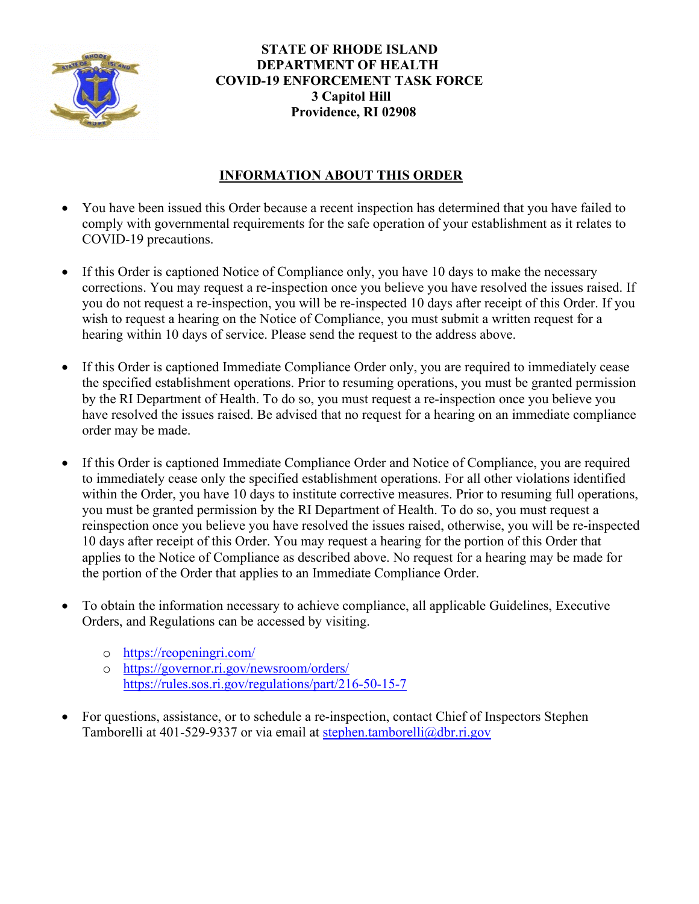

## **STATE OF RHODE ISLAND DEPARTMENT OF HEALTH COVID-19 ENFORCEMENT TASK FORCE**  **3 Capitol Hill Providence, RI 02908**

# **INFORMATION ABOUT THIS ORDER**

- You have been issued this Order because a recent inspection has determined that you have failed to comply with governmental requirements for the safe operation of your establishment as it relates to COVID-19 precautions.
- If this Order is captioned Notice of Compliance only, you have 10 days to make the necessary corrections. You may request a re-inspection once you believe you have resolved the issues raised. If you do not request a re-inspection, you will be re-inspected 10 days after receipt of this Order. If you wish to request a hearing on the Notice of Compliance, you must submit a written request for a hearing within 10 days of service. Please send the request to the address above.
- If this Order is captioned Immediate Compliance Order only, you are required to immediately cease the specified establishment operations. Prior to resuming operations, you must be granted permission by the RI Department of Health. To do so, you must request a re-inspection once you believe you have resolved the issues raised. Be advised that no request for a hearing on an immediate compliance order may be made.
- If this Order is captioned Immediate Compliance Order and Notice of Compliance, you are required to immediately cease only the specified establishment operations. For all other violations identified within the Order, you have 10 days to institute corrective measures. Prior to resuming full operations, you must be granted permission by the RI Department of Health. To do so, you must request a reinspection once you believe you have resolved the issues raised, otherwise, you will be re-inspected 10 days after receipt of this Order. You may request a hearing for the portion of this Order that applies to the Notice of Compliance as described above. No request for a hearing may be made for the portion of the Order that applies to an Immediate Compliance Order.
- To obtain the information necessary to achieve compliance, all applicable Guidelines, Executive Orders, and Regulations can be accessed by visiting.
	- o <https://reopeningri.com/>
	- o <https://governor.ri.gov/newsroom/orders/> <https://rules.sos.ri.gov/regulations/part/216-50-15-7>
- For questions, assistance, or to schedule a re-inspection, contact Chief of Inspectors Stephen Tamborelli at 401-529-9337 or via email at [stephen.tamborelli@dbr.ri.gov](mailto:Stephen.Tamborelli@dbr.ri.gov)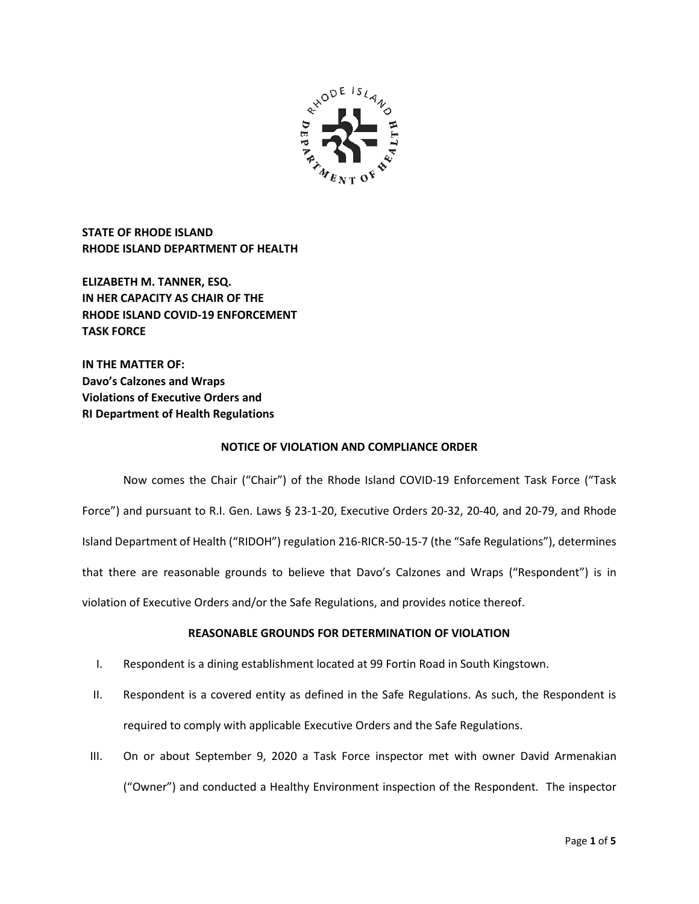

**STATE OF RHODE ISLAND RHODE ISLAND DEPARTMENT OF HEALTH**

**ELIZABETH M. TANNER, ESQ. IN HER CAPACITY AS CHAIR OF THE RHODE ISLAND COVID-19 ENFORCEMENT TASK FORCE** 

**IN THE MATTER OF: Davo's Calzones and Wraps Violations of Executive Orders and RI Department of Health Regulations**

#### **NOTICE OF VIOLATION AND COMPLIANCE ORDER**

Now comes the Chair ("Chair") of the Rhode Island COVID-19 Enforcement Task Force ("Task Force") and pursuant to R.I. Gen. Laws § 23-1-20, Executive Orders 20-32, 20-40, and 20-79, and Rhode Island Department of Health ("RIDOH") regulation 216-RICR-50-15-7 (the "Safe Regulations"), determines that there are reasonable grounds to believe that Davo's Calzones and Wraps ("Respondent") is in violation of Executive Orders and/or the Safe Regulations, and provides notice thereof.

### **REASONABLE GROUNDS FOR DETERMINATION OF VIOLATION**

- I. Respondent is a dining establishment located at 99 Fortin Road in South Kingstown.
- II. Respondent is a covered entity as defined in the Safe Regulations. As such, the Respondent is required to comply with applicable Executive Orders and the Safe Regulations.
- III. On or about September 9, 2020 a Task Force inspector met with owner David Armenakian ("Owner") and conducted a Healthy Environment inspection of the Respondent. The inspector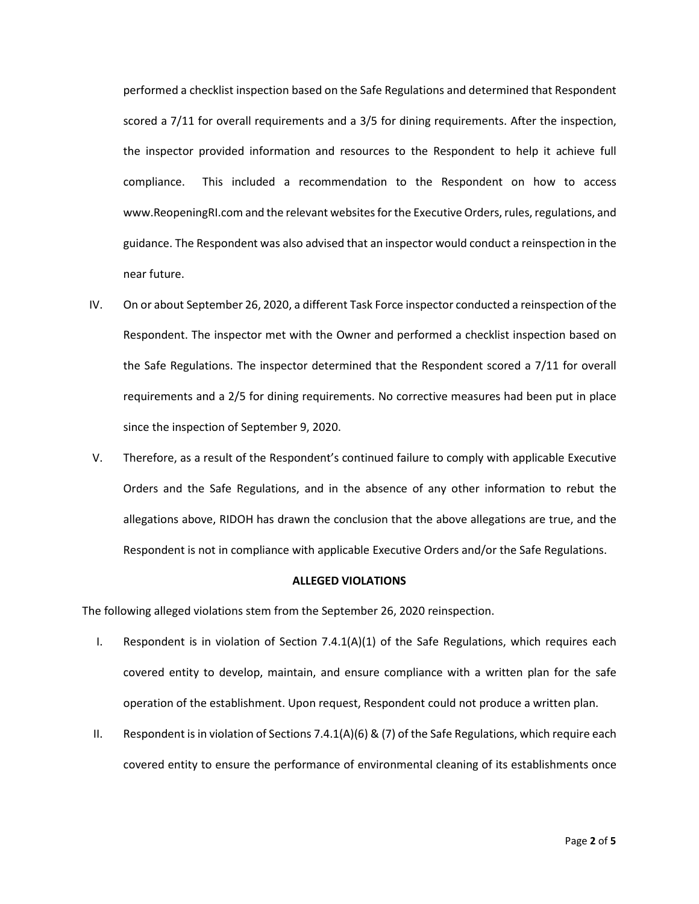performed a checklist inspection based on the Safe Regulations and determined that Respondent scored a 7/11 for overall requirements and a 3/5 for dining requirements. After the inspection, the inspector provided information and resources to the Respondent to help it achieve full compliance. This included a recommendation to the Respondent on how to access www.ReopeningRI.com and the relevant websites for the Executive Orders, rules, regulations, and guidance. The Respondent was also advised that an inspector would conduct a reinspection in the near future.

- IV. On or about September 26, 2020, a different Task Force inspector conducted a reinspection of the Respondent. The inspector met with the Owner and performed a checklist inspection based on the Safe Regulations. The inspector determined that the Respondent scored a 7/11 for overall requirements and a 2/5 for dining requirements. No corrective measures had been put in place since the inspection of September 9, 2020.
- V. Therefore, as a result of the Respondent's continued failure to comply with applicable Executive Orders and the Safe Regulations, and in the absence of any other information to rebut the allegations above, RIDOH has drawn the conclusion that the above allegations are true, and the Respondent is not in compliance with applicable Executive Orders and/or the Safe Regulations.

#### **ALLEGED VIOLATIONS**

The following alleged violations stem from the September 26, 2020 reinspection.

- I. Respondent is in violation of Section 7.4.1(A)(1) of the Safe Regulations, which requires each covered entity to develop, maintain, and ensure compliance with a written plan for the safe operation of the establishment. Upon request, Respondent could not produce a written plan.
- II. Respondent is in violation of Sections 7.4.1(A)(6) & (7) of the Safe Regulations, which require each covered entity to ensure the performance of environmental cleaning of its establishments once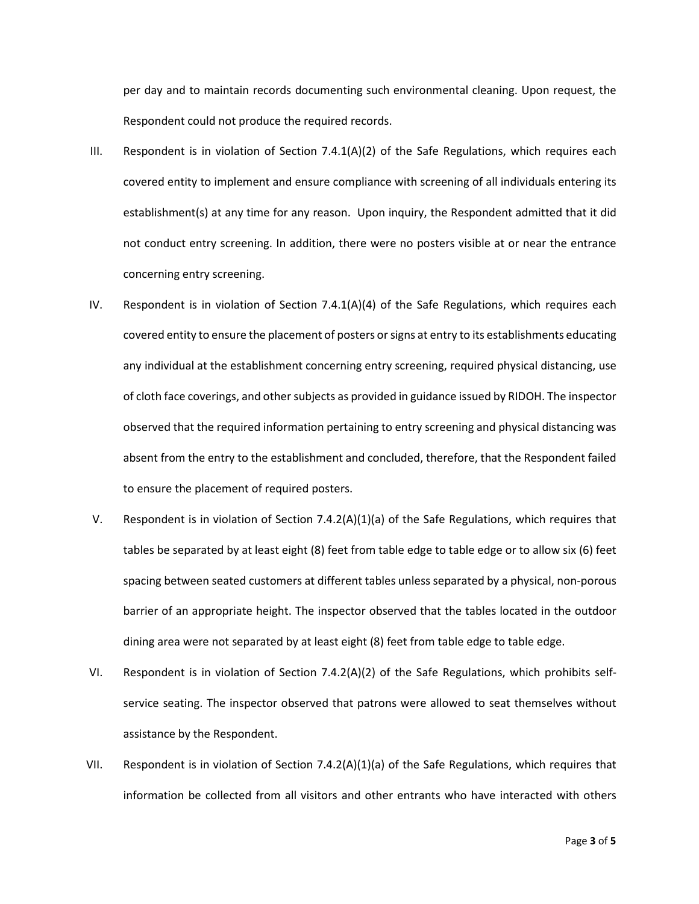per day and to maintain records documenting such environmental cleaning. Upon request, the Respondent could not produce the required records.

- III. Respondent is in violation of Section 7.4.1(A)(2) of the Safe Regulations, which requires each covered entity to implement and ensure compliance with screening of all individuals entering its establishment(s) at any time for any reason. Upon inquiry, the Respondent admitted that it did not conduct entry screening. In addition, there were no posters visible at or near the entrance concerning entry screening.
- IV. Respondent is in violation of Section  $7.4.1(A)(4)$  of the Safe Regulations, which requires each covered entity to ensure the placement of posters or signs at entry to its establishments educating any individual at the establishment concerning entry screening, required physical distancing, use of cloth face coverings, and other subjects as provided in guidance issued by RIDOH. The inspector observed that the required information pertaining to entry screening and physical distancing was absent from the entry to the establishment and concluded, therefore, that the Respondent failed to ensure the placement of required posters.
- V. Respondent is in violation of Section 7.4.2(A)(1)(a) of the Safe Regulations, which requires that tables be separated by at least eight (8) feet from table edge to table edge or to allow six (6) feet spacing between seated customers at different tables unless separated by a physical, non-porous barrier of an appropriate height. The inspector observed that the tables located in the outdoor dining area were not separated by at least eight (8) feet from table edge to table edge.
- VI. Respondent is in violation of Section 7.4.2(A)(2) of the Safe Regulations, which prohibits selfservice seating. The inspector observed that patrons were allowed to seat themselves without assistance by the Respondent.
- VII. Respondent is in violation of Section 7.4.2(A)(1)(a) of the Safe Regulations, which requires that information be collected from all visitors and other entrants who have interacted with others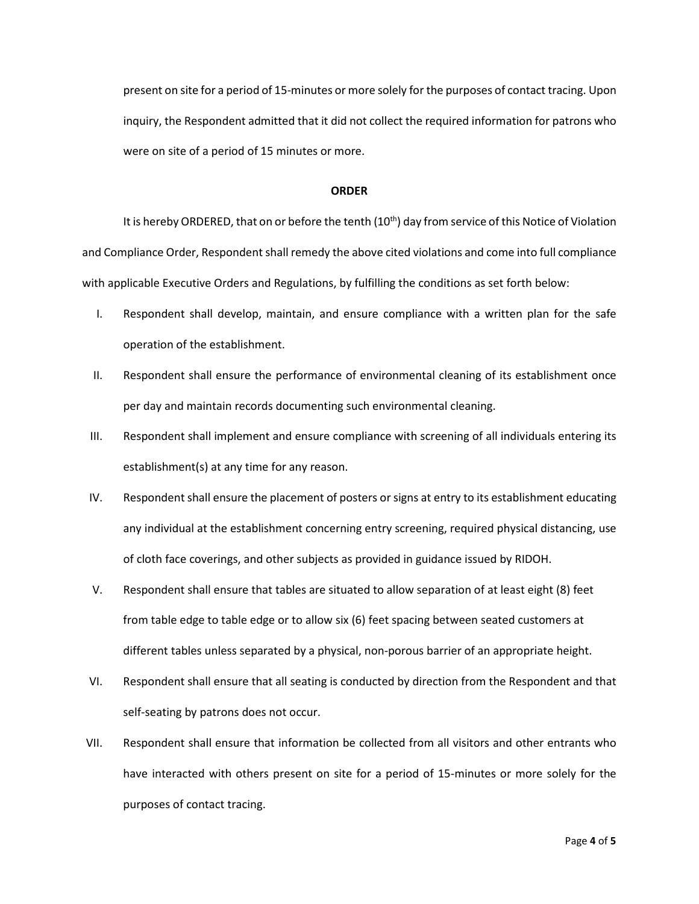present on site for a period of 15-minutes or more solely for the purposes of contact tracing. Upon inquiry, the Respondent admitted that it did not collect the required information for patrons who were on site of a period of 15 minutes or more.

#### **ORDER**

It is hereby ORDERED, that on or before the tenth  $(10<sup>th</sup>)$  day from service of this Notice of Violation and Compliance Order, Respondent shall remedy the above cited violations and come into full compliance with applicable Executive Orders and Regulations, by fulfilling the conditions as set forth below:

- I. Respondent shall develop, maintain, and ensure compliance with a written plan for the safe operation of the establishment.
- II. Respondent shall ensure the performance of environmental cleaning of its establishment once per day and maintain records documenting such environmental cleaning.
- III. Respondent shall implement and ensure compliance with screening of all individuals entering its establishment(s) at any time for any reason.
- IV. Respondent shall ensure the placement of posters or signs at entry to its establishment educating any individual at the establishment concerning entry screening, required physical distancing, use of cloth face coverings, and other subjects as provided in guidance issued by RIDOH.
- V. Respondent shall ensure that tables are situated to allow separation of at least eight (8) feet from table edge to table edge or to allow six (6) feet spacing between seated customers at different tables unless separated by a physical, non-porous barrier of an appropriate height.
- VI. Respondent shall ensure that all seating is conducted by direction from the Respondent and that self-seating by patrons does not occur.
- VII. Respondent shall ensure that information be collected from all visitors and other entrants who have interacted with others present on site for a period of 15-minutes or more solely for the purposes of contact tracing.